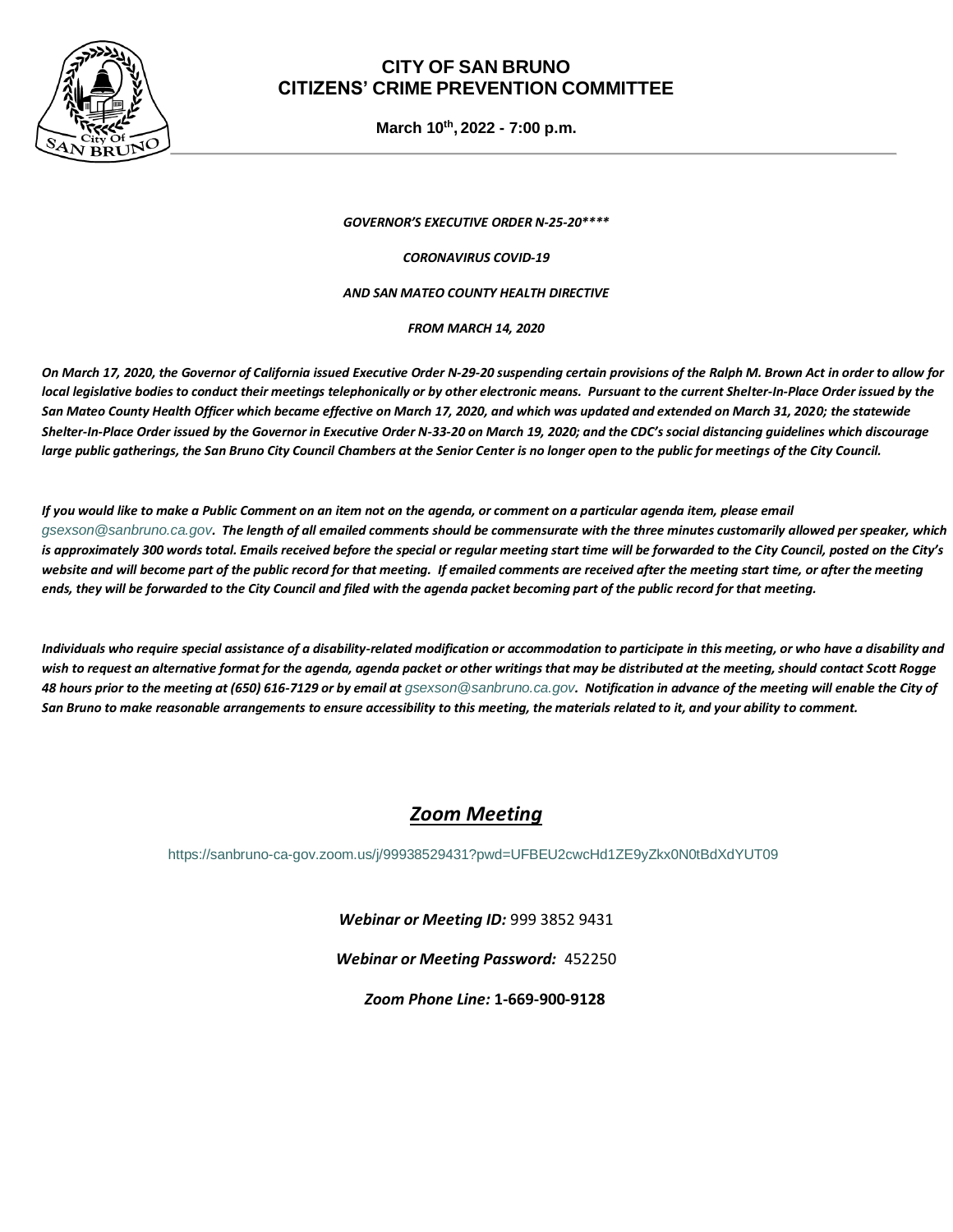

### **CITY OF SAN BRUNO CITIZENS' CRIME PREVENTION COMMITTEE**

**March 10th , 2022 - 7:00 p.m.**

*GOVERNOR'S EXECUTIVE ORDER N-25-20\*\*\*\**

*CORONAVIRUS COVID-19*

#### *AND SAN MATEO COUNTY HEALTH DIRECTIVE*

*FROM MARCH 14, 2020*

*On March 17, 2020, the Governor of California issued Executive Order N-29-20 suspending certain provisions of the Ralph M. Brown Act in order to allow for local legislative bodies to conduct their meetings telephonically or by other electronic means. Pursuant to the current Shelter-In-Place Order issued by the San Mateo County Health Officer which became effective on March 17, 2020, and which was updated and extended on March 31, 2020; the statewide Shelter-In-Place Order issued by the Governor in Executive Order N-33-20 on March 19, 2020; and the CDC's social distancing guidelines which discourage large public gatherings, the San Bruno City Council Chambers at the Senior Center is no longer open to the public for meetings of the City Council.* 

*If you would like to make a Public Comment on an item not on the agenda, or comment on a particular agenda item, please email [gsexson@sanbruno.ca.gov](mailto:gsexson@sanbruno.ca.gov). The length of all emailed comments should be commensurate with the three minutes customarily allowed per speaker, which is approximately 300 words total. Emails received before the special or regular meeting start time will be forwarded to the City Council, posted on the City's*  website and will become part of the public record for that meeting. If emailed comments are received after the meeting start time, or after the meeting *ends, they will be forwarded to the City Council and filed with the agenda packet becoming part of the public record for that meeting.* 

*Individuals who require special assistance of a disability-related modification or accommodation to participate in this meeting, or who have a disability and wish to request an alternative format for the agenda, agenda packet or other writings that may be distributed at the meeting, should contact Scott Rogge*  48 hours prior to the meeting at (650) 616-7129 or by email at *qsexson@sanbruno.ca.gov*. Notification in advance of the meeting will enable the City of *San Bruno to make reasonable arrangements to ensure accessibility to this meeting, the materials related to it, and your ability to comment.*

# *Zoom Meeting*

<https://sanbruno-ca-gov.zoom.us/j/99938529431?pwd=UFBEU2cwcHd1ZE9yZkx0N0tBdXdYUT09>

*Webinar or Meeting ID:* 999 3852 9431

*Webinar or Meeting Password:* 452250

*Zoom Phone Line:* **1-669-900-9128**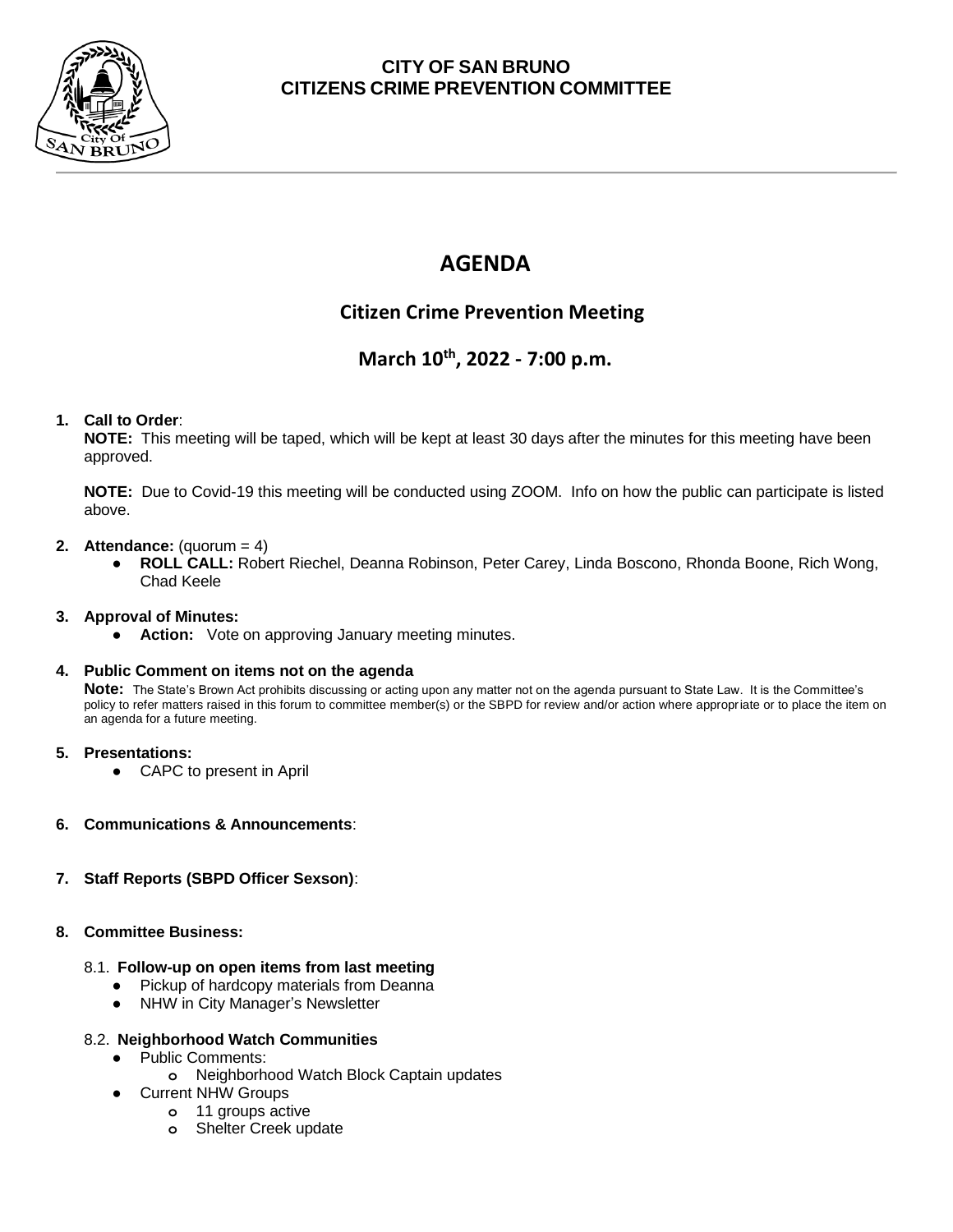

## **CITY OF SAN BRUNO CITIZENS CRIME PREVENTION COMMITTEE**

# **AGENDA**

# **Citizen Crime Prevention Meeting**

# **March 10th, 2022 - 7:00 p.m.**

#### **1. Call to Order**:

**NOTE:** This meeting will be taped, which will be kept at least 30 days after the minutes for this meeting have been approved.

**NOTE:** Due to Covid-19 this meeting will be conducted using ZOOM. Info on how the public can participate is listed above.

#### **2. Attendance:** (quorum = 4)

● **ROLL CALL:** Robert Riechel, Deanna Robinson, Peter Carey, Linda Boscono, Rhonda Boone, Rich Wong, Chad Keele

#### **3. Approval of Minutes:**

● **Action:** Vote on approving January meeting minutes.

#### **4. Public Comment on items not on the agenda**

**Note:** The State's Brown Act prohibits discussing or acting upon any matter not on the agenda pursuant to State Law. It is the Committee's policy to refer matters raised in this forum to committee member(s) or the SBPD for review and/or action where appropriate or to place the item on an agenda for a future meeting.

#### **5. Presentations:**

- CAPC to present in April
- **6. Communications & Announcements**:
- **7. Staff Reports (SBPD Officer Sexson)**:
- **8. Committee Business:**
	- 8.1. **Follow-up on open items from last meeting**
		- Pickup of hardcopy materials from Deanna
		- NHW in City Manager's Newsletter

#### 8.2. **Neighborhood Watch Communities**

- Public Comments:
	- **o** Neighborhood Watch Block Captain updates
	- **Current NHW Groups** 
		- **o** 11 groups active
		- **o** Shelter Creek update